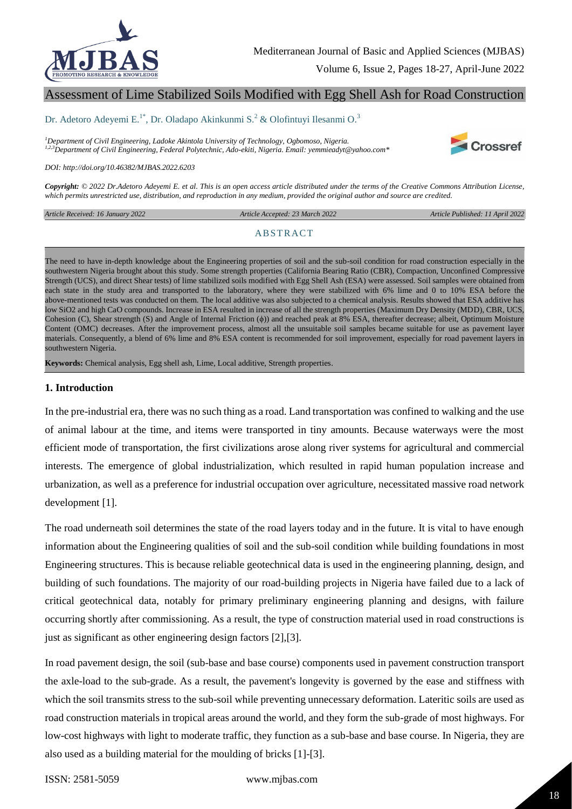

Volume 6, Issue 2, Pages 18-27, April-June 2022

# Assessment of Lime Stabilized Soils Modified with Egg Shell Ash for Road Construction

#### Dr. Adetoro Adeyemi E.<sup>1\*</sup>, Dr. Oladapo Akinkunmi S.<sup>2</sup> & Olofintuyi Ilesanmi O.<sup>3</sup>

*<sup>1</sup>Department of Civil Engineering, Ladoke Akintola University of Technology, Ogbomoso, Nigeria. 1,2,3Department of Civil Engineering, Federal Polytechnic, Ado-ekiti, Nigeria. Email: yemmieadyt@yahoo.com\**



*DOI: http://doi.org/10.46382/MJBAS.2022.6203*

*Copyright: © 2022 Dr.Adetoro Adeyemi E. et al. This is an open access article distributed under the terms of the Creative Commons Attribution License, which permits unrestricted use, distribution, and reproduction in any medium, provided the original author and source are credited.* 

*Article Received: 16 January 2022* 

 *Article Accepted: 23 March 2022 Article Published: 11 April 2022*

#### **ABSTRACT**

The need to have in-depth knowledge about the Engineering properties of soil and the sub-soil condition for road construction especially in the southwestern Nigeria brought about this study. Some strength properties (California Bearing Ratio (CBR), Compaction, Unconfined Compressive Strength (UCS), and direct Shear tests) of lime stabilized soils modified with Egg Shell Ash (ESA) were assessed. Soil samples were obtained from each state in the study area and transported to the laboratory, where they were stabilized with 6% lime and 0 to 10% ESA before the above-mentioned tests was conducted on them. The local additive was also subjected to a chemical analysis. Results showed that ESA additive has low SiO2 and high CaO compounds. Increase in ESA resulted in increase of all the strength properties (Maximum Dry Density (MDD), CBR, UCS, Cohesion (C), Shear strength (S) and Angle of Internal Friction (ϕ)) and reached peak at 8% ESA, thereafter decrease; albeit, Optimum Moisture Content (OMC) decreases. After the improvement process, almost all the unsuitable soil samples became suitable for use as pavement layer materials. Consequently, a blend of 6% lime and 8% ESA content is recommended for soil improvement, especially for road pavement layers in southwestern Nigeria.

**Keywords:** Chemical analysis, Egg shell ash, Lime, Local additive, Strength properties.

#### **1. Introduction**

In the pre-industrial era, there was no such thing as a road. Land transportation was confined to walking and the use of animal labour at the time, and items were transported in tiny amounts. Because waterways were the most efficient mode of transportation, the first civilizations arose along river systems for agricultural and commercial interests. The emergence of global industrialization, which resulted in rapid human population increase and urbanization, as well as a preference for industrial occupation over agriculture, necessitated massive road network development [1].

The road underneath soil determines the state of the road layers today and in the future. It is vital to have enough information about the Engineering qualities of soil and the sub-soil condition while building foundations in most Engineering structures. This is because reliable geotechnical data is used in the engineering planning, design, and building of such foundations. The majority of our road-building projects in Nigeria have failed due to a lack of critical geotechnical data, notably for primary preliminary engineering planning and designs, with failure occurring shortly after commissioning. As a result, the type of construction material used in road constructions is just as significant as other engineering design factors [2],[3].

In road pavement design, the soil (sub-base and base course) components used in pavement construction transport the axle-load to the sub-grade. As a result, the pavement's longevity is governed by the ease and stiffness with which the soil transmits stress to the sub-soil while preventing unnecessary deformation. Lateritic soils are used as road construction materials in tropical areas around the world, and they form the sub-grade of most highways. For low-cost highways with light to moderate traffic, they function as a sub-base and base course. In Nigeria, they are also used as a building material for the moulding of bricks [1]-[3].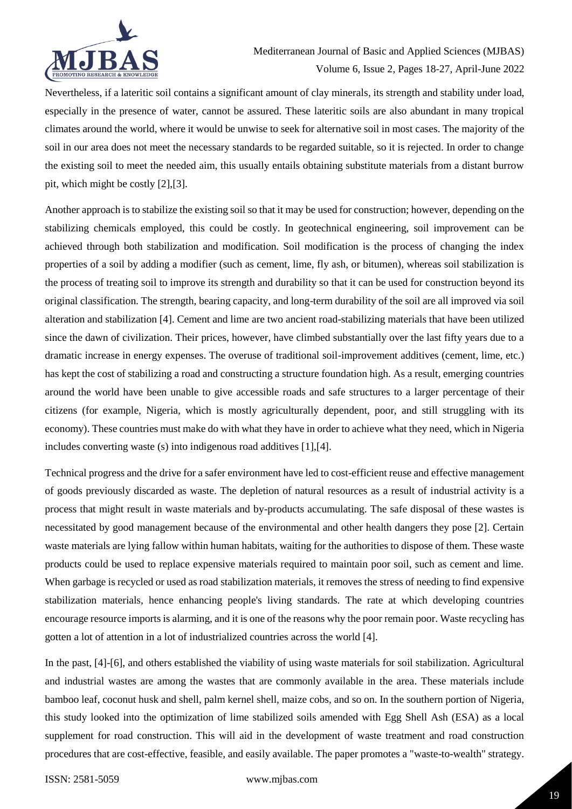

Nevertheless, if a lateritic soil contains a significant amount of clay minerals, its strength and stability under load, especially in the presence of water, cannot be assured. These lateritic soils are also abundant in many tropical climates around the world, where it would be unwise to seek for alternative soil in most cases. The majority of the soil in our area does not meet the necessary standards to be regarded suitable, so it is rejected. In order to change the existing soil to meet the needed aim, this usually entails obtaining substitute materials from a distant burrow pit, which might be costly [2],[3].

Another approach is to stabilize the existing soil so that it may be used for construction; however, depending on the stabilizing chemicals employed, this could be costly. In geotechnical engineering, soil improvement can be achieved through both stabilization and modification. Soil modification is the process of changing the index properties of a soil by adding a modifier (such as cement, lime, fly ash, or bitumen), whereas soil stabilization is the process of treating soil to improve its strength and durability so that it can be used for construction beyond its original classification. The strength, bearing capacity, and long-term durability of the soil are all improved via soil alteration and stabilization [4]. Cement and lime are two ancient road-stabilizing materials that have been utilized since the dawn of civilization. Their prices, however, have climbed substantially over the last fifty years due to a dramatic increase in energy expenses. The overuse of traditional soil-improvement additives (cement, lime, etc.) has kept the cost of stabilizing a road and constructing a structure foundation high. As a result, emerging countries around the world have been unable to give accessible roads and safe structures to a larger percentage of their citizens (for example, Nigeria, which is mostly agriculturally dependent, poor, and still struggling with its economy). These countries must make do with what they have in order to achieve what they need, which in Nigeria includes converting waste (s) into indigenous road additives [1],[4].

Technical progress and the drive for a safer environment have led to cost-efficient reuse and effective management of goods previously discarded as waste. The depletion of natural resources as a result of industrial activity is a process that might result in waste materials and by-products accumulating. The safe disposal of these wastes is necessitated by good management because of the environmental and other health dangers they pose [2]. Certain waste materials are lying fallow within human habitats, waiting for the authorities to dispose of them. These waste products could be used to replace expensive materials required to maintain poor soil, such as cement and lime. When garbage is recycled or used as road stabilization materials, it removes the stress of needing to find expensive stabilization materials, hence enhancing people's living standards. The rate at which developing countries encourage resource imports is alarming, and it is one of the reasons why the poor remain poor. Waste recycling has gotten a lot of attention in a lot of industrialized countries across the world [4].

In the past, [4]-[6], and others established the viability of using waste materials for soil stabilization. Agricultural and industrial wastes are among the wastes that are commonly available in the area. These materials include bamboo leaf, coconut husk and shell, palm kernel shell, maize cobs, and so on. In the southern portion of Nigeria, this study looked into the optimization of lime stabilized soils amended with Egg Shell Ash (ESA) as a local supplement for road construction. This will aid in the development of waste treatment and road construction procedures that are cost-effective, feasible, and easily available. The paper promotes a "waste-to-wealth" strategy.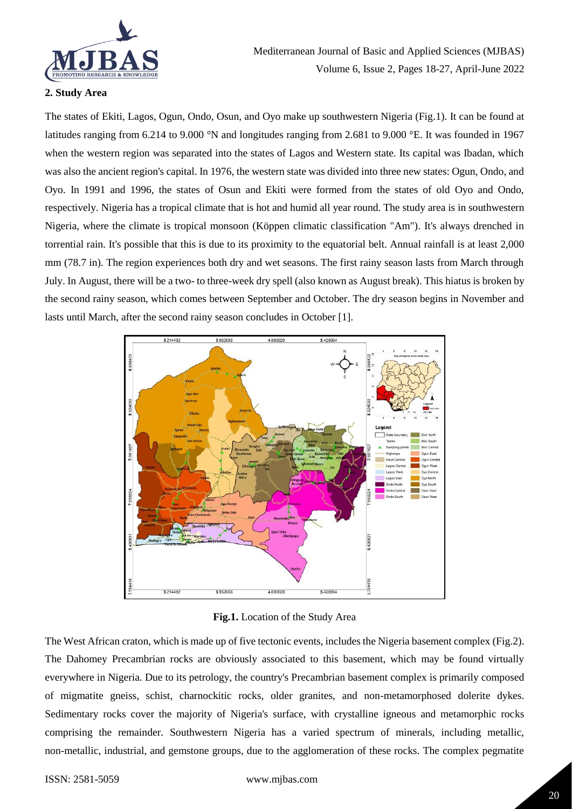

# **2. Study Area**

The states of Ekiti, Lagos, Ogun, Ondo, Osun, and Oyo make up southwestern Nigeria (Fig.1). It can be found at latitudes ranging from 6.214 to 9.000 °N and longitudes ranging from 2.681 to 9.000 °E. It was founded in 1967 when the western region was separated into the states of Lagos and Western state. Its capital was Ibadan, which was also the ancient region's capital. In 1976, the western state was divided into three new states: Ogun, Ondo, and Oyo. In 1991 and 1996, the states of Osun and Ekiti were formed from the states of old Oyo and Ondo, respectively. Nigeria has a tropical climate that is hot and humid all year round. The study area is in southwestern Nigeria, where the climate is tropical monsoon (Köppen climatic classification "Am"). It's always drenched in torrential rain. It's possible that this is due to its proximity to the equatorial belt. Annual rainfall is at least 2,000 mm (78.7 in). The region experiences both dry and wet seasons. The first rainy season lasts from March through July. In August, there will be a two- to three-week dry spell (also known as August break). This hiatus is broken by the second rainy season, which comes between September and October. The dry season begins in November and lasts until March, after the second rainy season concludes in October [1].



**Fig.1.** Location of the Study Area

The West African craton, which is made up of five tectonic events, includes the Nigeria basement complex (Fig.2). The Dahomey Precambrian rocks are obviously associated to this basement, which may be found virtually everywhere in Nigeria. Due to its petrology, the country's Precambrian basement complex is primarily composed of migmatite gneiss, schist, charnockitic rocks, older granites, and non-metamorphosed dolerite dykes. Sedimentary rocks cover the majority of Nigeria's surface, with crystalline igneous and metamorphic rocks comprising the remainder. Southwestern Nigeria has a varied spectrum of minerals, including metallic, non-metallic, industrial, and gemstone groups, due to the agglomeration of these rocks. The complex pegmatite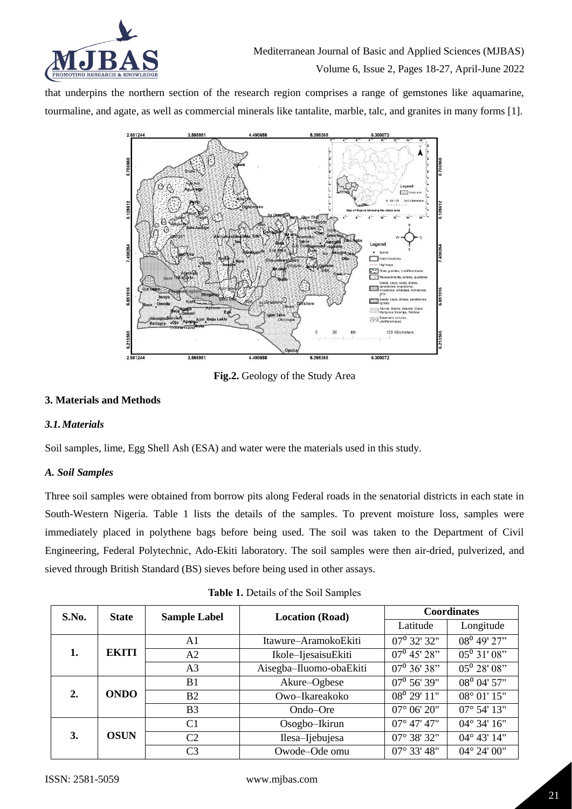

that underpins the northern section of the research region comprises a range of gemstones like aquamarine, tourmaline, and agate, as well as commercial minerals like tantalite, marble, talc, and granites in many forms [1].



**Fig.2.** Geology of the Study Area

# **3. Materials and Methods**

## *3.1.Materials*

Soil samples, lime, Egg Shell Ash (ESA) and water were the materials used in this study.

## *A. Soil Samples*

Three soil samples were obtained from borrow pits along Federal roads in the senatorial districts in each state in South-Western Nigeria. Table 1 lists the details of the samples. To prevent moisture loss, samples were immediately placed in polythene bags before being used. The soil was taken to the Department of Civil Engineering, Federal Polytechnic, Ado-Ekiti laboratory. The soil samples were then air-dried, pulverized, and sieved through British Standard (BS) sieves before being used in other assays.

| <b>Table 1.</b> Details of the Soil Samples |  |
|---------------------------------------------|--|
|                                             |  |

| S.No. | <b>State</b> | <b>Sample Label</b> | <b>Location (Road)</b>  |                           | <b>Coordinates</b>         |
|-------|--------------|---------------------|-------------------------|---------------------------|----------------------------|
|       |              |                     |                         | Latitude                  | Longitude                  |
|       |              | A1                  | Itawure–AramokoEkiti    | $\overline{07^0}$ 32' 32" | $08^0$ 49' 27"             |
| 1.    | <b>EKITI</b> | A <sub>2</sub>      | Ikole-IjesaisuEkiti     | $07^{\rm o}$ 45' 28"      | $\overline{05^0 31' 08''}$ |
|       |              | A <sub>3</sub>      | Aisegba-Iluomo-obaEkiti | $\overline{07^0}$ 36' 38" | $05^0 28' 08''$            |
|       |              | B <sub>1</sub>      | Akure-Ogbese            | $07^{\rm o}$ 56' 39"      | 08 <sup>0</sup> 04' 57"    |
| 2.    | <b>ONDO</b>  | B <sub>2</sub>      | Owo-Ikareakoko          | $\overline{08^0}$ 29' 11" | 08° 01' 15"                |
|       |              | B <sub>3</sub>      | Ondo–Ore                | $07^{\circ}$ 06' 20"      | $07^{\circ}$ 54' 13"       |
|       |              | C <sub>1</sub>      | Osogbo-Ikirun           | $07^{\circ}$ 47' 47"      | $04^{\circ} 34' 16''$      |
| 3.    | <b>OSUN</b>  | C <sub>2</sub>      | Ilesa-Ijebujesa         | 07° 38' 32"               | 04° 43' 14"                |
|       |              | C <sub>3</sub>      | Owode-Ode omu           | $07^{\circ} 33' 48''$     | $04^{\circ} 24' 00''$      |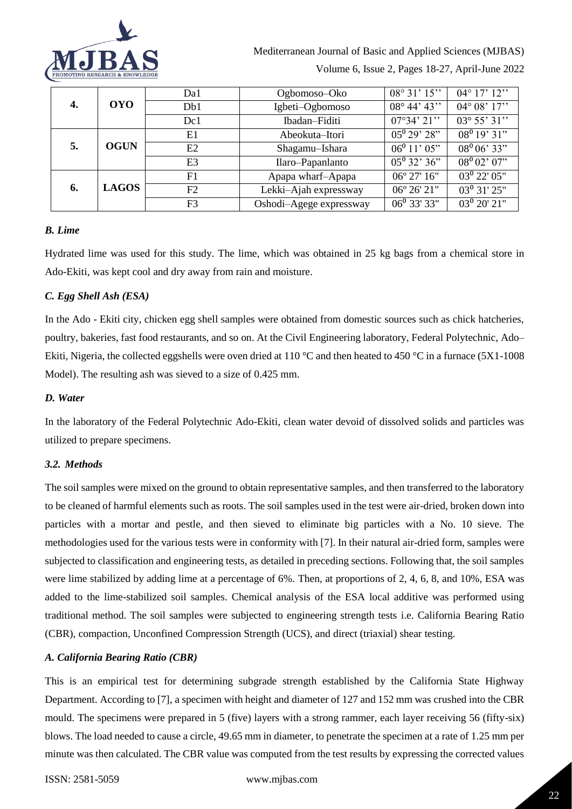

|    |              | Da1            | Ogbomoso–Oko            | $08^{\circ}31'15''$   | $04^{\circ} 17' 12''$ |
|----|--------------|----------------|-------------------------|-----------------------|-----------------------|
| 4. | <b>OYO</b>   | Db1            | Igbeti-Ogbomoso         | $08^{\circ}$ 44' 43"  | $04^{\circ} 08' 17''$ |
|    |              | Dc1            | Ibadan-Fiditi           | $07^{\circ}34'21''$   | $03^{\circ} 55' 31''$ |
|    |              | E1             | Abeokuta–Itori          | $05^{0}29'28"$        | $08^0 19' 31''$       |
| 5. | <b>OGUN</b>  | E2             | Shagamu-Ishara          | $06^0 11' 05"$        | $08^0 06' 33"$        |
|    |              | E <sub>3</sub> | Ilaro-Papanlanto        | $05^{\circ} 32' 36''$ | $08^0 02' 07''$       |
|    |              | F1             | Apapa wharf-Apapa       | 06° 27' 16"           | $03^{\rm o}$ 22' 05"  |
| 6. | <b>LAGOS</b> | F2             | Lekki-Ajah expressway   | 06° 26' 21"           | $03^0$ 31' 25"        |
|    |              | F <sub>3</sub> | Oshodi-Agege expressway | $06^0$ 33' 33"        | $03^0$ 20' 21"        |

# *B. Lime*

Hydrated lime was used for this study. The lime, which was obtained in 25 kg bags from a chemical store in Ado-Ekiti, was kept cool and dry away from rain and moisture.

# *C. Egg Shell Ash (ESA)*

In the Ado - Ekiti city, chicken egg shell samples were obtained from domestic sources such as chick hatcheries, poultry, bakeries, fast food restaurants, and so on. At the Civil Engineering laboratory, Federal Polytechnic, Ado– Ekiti, Nigeria, the collected eggshells were oven dried at 110 °C and then heated to 450 °C in a furnace (5X1-1008) Model). The resulting ash was sieved to a size of 0.425 mm.

# *D. Water*

In the laboratory of the Federal Polytechnic Ado-Ekiti, clean water devoid of dissolved solids and particles was utilized to prepare specimens.

## *3.2. Methods*

The soil samples were mixed on the ground to obtain representative samples, and then transferred to the laboratory to be cleaned of harmful elements such as roots. The soil samples used in the test were air-dried, broken down into particles with a mortar and pestle, and then sieved to eliminate big particles with a No. 10 sieve. The methodologies used for the various tests were in conformity with [7]. In their natural air-dried form, samples were subjected to classification and engineering tests, as detailed in preceding sections. Following that, the soil samples were lime stabilized by adding lime at a percentage of 6%. Then, at proportions of 2, 4, 6, 8, and 10%, ESA was added to the lime-stabilized soil samples. Chemical analysis of the ESA local additive was performed using traditional method. The soil samples were subjected to engineering strength tests i.e. California Bearing Ratio (CBR), compaction, Unconfined Compression Strength (UCS), and direct (triaxial) shear testing.

## *A. California Bearing Ratio (CBR)*

This is an empirical test for determining subgrade strength established by the California State Highway Department. According to [7], a specimen with height and diameter of 127 and 152 mm was crushed into the CBR mould. The specimens were prepared in 5 (five) layers with a strong rammer, each layer receiving 56 (fifty-six) blows. The load needed to cause a circle, 49.65 mm in diameter, to penetrate the specimen at a rate of 1.25 mm per minute was then calculated. The CBR value was computed from the test results by expressing the corrected values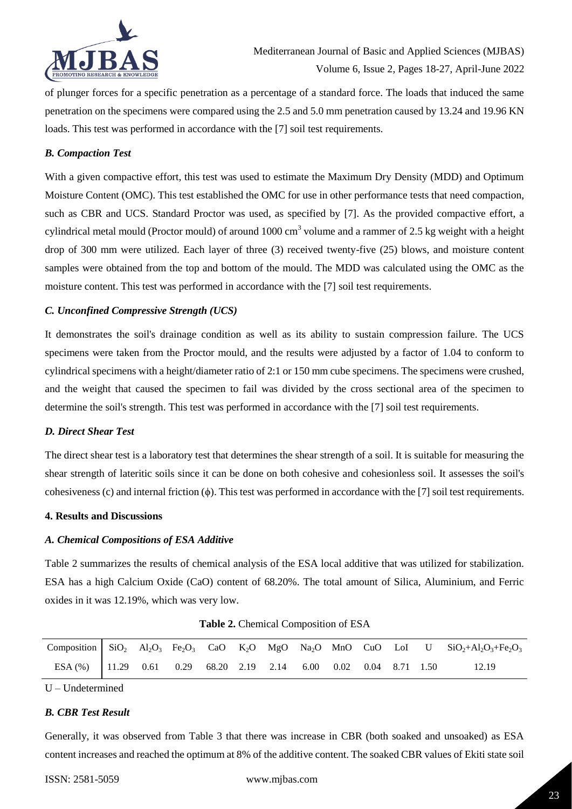

of plunger forces for a specific penetration as a percentage of a standard force. The loads that induced the same penetration on the specimens were compared using the 2.5 and 5.0 mm penetration caused by 13.24 and 19.96 KN loads. This test was performed in accordance with the [7] soil test requirements.

### *B. Compaction Test*

With a given compactive effort, this test was used to estimate the Maximum Dry Density (MDD) and Optimum Moisture Content (OMC). This test established the OMC for use in other performance tests that need compaction, such as CBR and UCS. Standard Proctor was used, as specified by [7]. As the provided compactive effort, a cylindrical metal mould (Proctor mould) of around  $1000 \text{ cm}^3$  volume and a rammer of 2.5 kg weight with a height drop of 300 mm were utilized. Each layer of three (3) received twenty-five (25) blows, and moisture content samples were obtained from the top and bottom of the mould. The MDD was calculated using the OMC as the moisture content. This test was performed in accordance with the [7] soil test requirements.

#### *C. Unconfined Compressive Strength (UCS)*

It demonstrates the soil's drainage condition as well as its ability to sustain compression failure. The UCS specimens were taken from the Proctor mould, and the results were adjusted by a factor of 1.04 to conform to cylindrical specimens with a height/diameter ratio of 2:1 or 150 mm cube specimens. The specimens were crushed, and the weight that caused the specimen to fail was divided by the cross sectional area of the specimen to determine the soil's strength. This test was performed in accordance with the [7] soil test requirements.

#### *D. Direct Shear Test*

The direct shear test is a laboratory test that determines the shear strength of a soil. It is suitable for measuring the shear strength of lateritic soils since it can be done on both cohesive and cohesionless soil. It assesses the soil's cohesiveness (c) and internal friction  $(\phi)$ . This test was performed in accordance with the [7] soil test requirements.

#### **4. Results and Discussions**

#### *A. Chemical Compositions of ESA Additive*

Table 2 summarizes the results of chemical analysis of the ESA local additive that was utilized for stabilization. ESA has a high Calcium Oxide (CaO) content of 68.20%. The total amount of Silica, Aluminium, and Ferric oxides in it was 12.19%, which was very low.

|                                              |  |  |  |                             |  | Composition SiO <sub>2</sub> Al <sub>2</sub> O <sub>3</sub> Fe <sub>2</sub> O <sub>3</sub> CaO K <sub>2</sub> O MgO Na <sub>2</sub> O MnO CuO LoI U SiO <sub>2</sub> +Al <sub>2</sub> O <sub>3</sub> +Fe <sub>2</sub> O <sub>3</sub> |
|----------------------------------------------|--|--|--|-----------------------------|--|--------------------------------------------------------------------------------------------------------------------------------------------------------------------------------------------------------------------------------------|
| ESA (%) 11.29 0.61 0.29 68.20 2.19 2.14 6.00 |  |  |  | $0.02$ $0.04$ $8.71$ $1.50$ |  | 12.19                                                                                                                                                                                                                                |

**Table 2.** Chemical Composition of ESA

U – Undetermined

### *B. CBR Test Result*

Generally, it was observed from Table 3 that there was increase in CBR (both soaked and unsoaked) as ESA content increases and reached the optimum at 8% of the additive content. The soaked CBR values of Ekiti state soil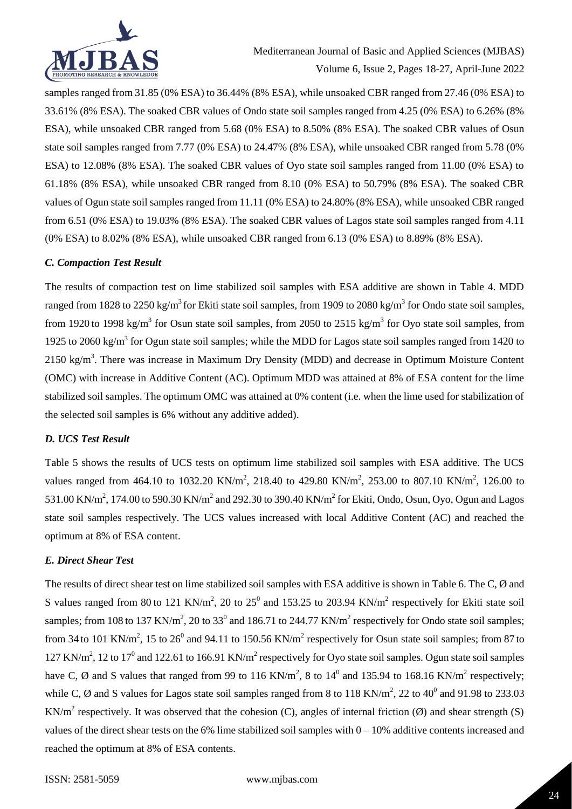

samples ranged from 31.85 (0% ESA) to 36.44% (8% ESA), while unsoaked CBR ranged from 27.46 (0% ESA) to 33.61% (8% ESA). The soaked CBR values of Ondo state soil samples ranged from 4.25 (0% ESA) to 6.26% (8% ESA), while unsoaked CBR ranged from 5.68 (0% ESA) to 8.50% (8% ESA). The soaked CBR values of Osun state soil samples ranged from 7.77 (0% ESA) to 24.47% (8% ESA), while unsoaked CBR ranged from 5.78 (0% ESA) to 12.08% (8% ESA). The soaked CBR values of Oyo state soil samples ranged from 11.00 (0% ESA) to 61.18% (8% ESA), while unsoaked CBR ranged from 8.10 (0% ESA) to 50.79% (8% ESA). The soaked CBR values of Ogun state soil samples ranged from 11.11 (0% ESA) to 24.80% (8% ESA), while unsoaked CBR ranged from 6.51 (0% ESA) to 19.03% (8% ESA). The soaked CBR values of Lagos state soil samples ranged from 4.11 (0% ESA) to 8.02% (8% ESA), while unsoaked CBR ranged from 6.13 (0% ESA) to 8.89% (8% ESA).

### *C. Compaction Test Result*

The results of compaction test on lime stabilized soil samples with ESA additive are shown in Table 4. MDD ranged from 1828 to 2250 kg/m<sup>3</sup> for Ekiti state soil samples, from 1909 to 2080 kg/m<sup>3</sup> for Ondo state soil samples, from 1920 to 1998 kg/m<sup>3</sup> for Osun state soil samples, from 2050 to 2515 kg/m<sup>3</sup> for Oyo state soil samples, from 1925 to 2060 kg/m<sup>3</sup> for Ogun state soil samples; while the MDD for Lagos state soil samples ranged from 1420 to 2150 kg/m<sup>3</sup>. There was increase in Maximum Dry Density (MDD) and decrease in Optimum Moisture Content (OMC) with increase in Additive Content (AC). Optimum MDD was attained at 8% of ESA content for the lime stabilized soil samples. The optimum OMC was attained at 0% content (i.e. when the lime used for stabilization of the selected soil samples is 6% without any additive added).

## *D. UCS Test Result*

Table 5 shows the results of UCS tests on optimum lime stabilized soil samples with ESA additive. The UCS values ranged from 464.10 to 1032.20 KN/m<sup>2</sup>, 218.40 to 429.80 KN/m<sup>2</sup>, 253.00 to 807.10 KN/m<sup>2</sup>, 126.00 to 531.00 KN/m<sup>2</sup>, 174.00 to 590.30 KN/m<sup>2</sup> and 292.30 to 390.40 KN/m<sup>2</sup> for Ekiti, Ondo, Osun, Oyo, Ogun and Lagos state soil samples respectively. The UCS values increased with local Additive Content (AC) and reached the optimum at 8% of ESA content.

#### *E. Direct Shear Test*

The results of direct shear test on lime stabilized soil samples with ESA additive is shown in Table 6. The C, Ø and S values ranged from 80 to 121 KN/m<sup>2</sup>, 20 to 25<sup>0</sup> and 153.25 to 203.94 KN/m<sup>2</sup> respectively for Ekiti state soil samples; from 108 to 137 KN/m<sup>2</sup>, 20 to 33<sup>0</sup> and 186.71 to 244.77 KN/m<sup>2</sup> respectively for Ondo state soil samples; from 34 to 101 KN/m<sup>2</sup>, 15 to 26<sup>0</sup> and 94.11 to 150.56 KN/m<sup>2</sup> respectively for Osun state soil samples; from 87 to  $127$  KN/m<sup>2</sup>, 12 to 17<sup>0</sup> and 122.61 to 166.91 KN/m<sup>2</sup> respectively for Oyo state soil samples. Ogun state soil samples have C, Ø and S values that ranged from 99 to 116 KN/m<sup>2</sup>, 8 to 14<sup>0</sup> and 135.94 to 168.16 KN/m<sup>2</sup> respectively; while C,  $\emptyset$  and S values for Lagos state soil samples ranged from 8 to 118 KN/m<sup>2</sup>, 22 to 40<sup>0</sup> and 91.98 to 233.03 KN/m<sup>2</sup> respectively. It was observed that the cohesion (C), angles of internal friction (Ø) and shear strength (S) values of the direct shear tests on the 6% lime stabilized soil samples with  $0 - 10%$  additive contents increased and reached the optimum at 8% of ESA contents.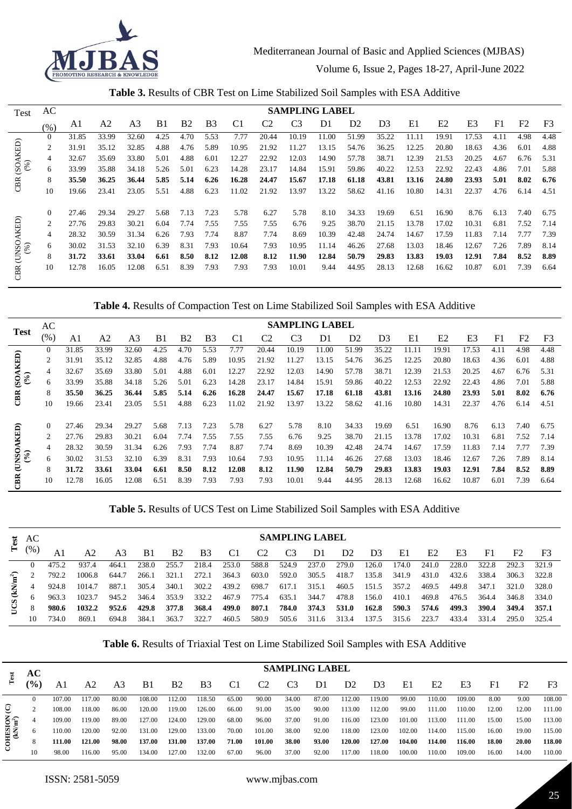

|  |  |  | Table 3. Results of CBR Test on Lime Stabilized Soil Samples with ESA Additive |  |  |  |
|--|--|--|--------------------------------------------------------------------------------|--|--|--|
|--|--|--|--------------------------------------------------------------------------------|--|--|--|

| Test                           | AC             |       |       |       |      |           |                |                |                | <b>SAMPLING LABEL</b> |                |                |                |       |       |       |      |      |                |
|--------------------------------|----------------|-------|-------|-------|------|-----------|----------------|----------------|----------------|-----------------------|----------------|----------------|----------------|-------|-------|-------|------|------|----------------|
|                                | (%)            | Al    | A2    | A3    | B1   | <b>B2</b> | B <sub>3</sub> | C <sub>1</sub> | C <sub>2</sub> | C <sub>3</sub>        | D <sub>1</sub> | D <sub>2</sub> | D <sub>3</sub> | E1    | E2    | E3    | F1   | F2   | F <sub>3</sub> |
|                                | $\Omega$       | 31.85 | 33.99 | 32.60 | 4.25 | 4.70      | 5.53           | 7.77           | 20.44          | 10.19                 | 11.00          | 51.99          | 35.22          | 11.11 | 19.91 | 17.53 | 4.11 | 4.98 | 4.48           |
|                                | $\overline{2}$ | 31.91 | 35.12 | 32.85 | 4.88 | 4.76      | 5.89           | 10.95          | 21.92          | 11.27                 | 13.15          | 54.76          | 36.25          | 12.25 | 20.80 | 18.63 | 4.36 | 6.01 | 4.88           |
| $(SOAKED)$<br>$(%)$            |                | 32.67 | 35.69 | 33.80 | 5.01 | 4.88      | 6.01           | 12.27          | 22.92          | 12.03                 | 14.90          | 57.78          | 38.71          | 12.39 | 21.53 | 20.25 | 4.67 | 6.76 | 5.31           |
|                                | <sub>0</sub>   | 33.99 | 35.88 | 34.18 | 5.26 | 5.01      | 6.23           | 14.28          | 23.17          | 14.84                 | 15.91          | 59.86          | 40.22          | 12.53 | 22.92 | 22.43 | 4.86 | 7.01 | 5.88           |
| CBR                            | 8              | 35.50 | 36.25 | 36.44 | 5.85 | 5.14      | 6.26           | 16.28          | 24.47          | 15.67                 | 17.18          | 61.18          | 43.81          | 13.16 | 24.80 | 23.93 | 5.01 | 8.02 | 6.76           |
|                                | 10             | 19.66 | 23.41 | 23.05 | 5.51 | 4.88      | 6.23           | 11.02          | 21.92          | 13.97                 | 13.22          | 58.62          | 41.16          | 10.80 | 14.31 | 22.37 | 4.76 | 6.14 | 4.51           |
|                                | $\left($       | 27.46 | 29.34 | 29.27 | 5.68 | 7.13      | 7.23           | 5.78           | 6.27           | 5.78                  | 8.10           | 34.33          | 19.69          | 6.51  | 16.90 | 8.76  | 6.13 | 7.40 | 6.75           |
|                                | 2              | 27.76 | 29.83 | 30.21 | 6.04 | 7.74      | 7.55           | 7.55           | 7.55           | 6.76                  | 9.25           | 38.70          | 21.15          | 13.78 | 17.02 | 10.31 | 6.81 | 7.52 | 7.14           |
| <b>AKED</b>                    | 4              | 28.32 | 30.59 | 31.34 | 6.26 | 7.93      | 7.74           | 8.87           | 7.74           | 8.69                  | 10.39          | 42.48          | 24.74          | 14.67 | 17.59 | 11.83 | 7.14 | 7.77 | 7.39           |
| UNSO.<br>$\frac{(0.6)}{(0.6)}$ | 6              | 30.02 | 31.53 | 32.10 | 6.39 | 8.31      | 7.93           | 10.64          | 7.93           | 10.95                 | 11.14          | 46.26          | 27.68          | 13.03 | 18.46 | 12.67 | 7.26 | 7.89 | 8.14           |
|                                | 8              | 31.72 | 33.61 | 33.04 | 6.61 | 8.50      | 8.12           | 12.08          | 8.12           | 11.90                 | 12.84          | 50.79          | 29.83          | 13.83 | 19.03 | 12.91 | 7.84 | 8.52 | 8.89           |
|                                | 10             | 12.78 | 16.05 | 12.08 | 6.51 | 8.39      | 7.93           | 7.93           | 7.93           | 10.01                 | 9.44           | 44.95          | 28.13          | 12.68 | 16.62 | 10.87 | 6.01 | 7.39 | 6.64           |

**Table 4.** Results of Compaction Test on Lime Stabilized Soil Samples with ESA Additive

| <b>Test</b>                                                                                    | AC             |       |       |                |                |                |                       |                |                | <b>SAMPLING LABEL</b> |       |                |                |       |       |       |                |                |                |
|------------------------------------------------------------------------------------------------|----------------|-------|-------|----------------|----------------|----------------|-----------------------|----------------|----------------|-----------------------|-------|----------------|----------------|-------|-------|-------|----------------|----------------|----------------|
|                                                                                                | $(\%)$         | A1    | A2    | A <sub>3</sub> | B <sub>1</sub> | B <sub>2</sub> | <b>B</b> <sub>3</sub> | C <sub>1</sub> | C <sub>2</sub> | C <sub>3</sub>        | D1    | D <sub>2</sub> | D <sub>3</sub> | E1    | E2    | E3    | F <sub>1</sub> | F <sub>2</sub> | F <sub>3</sub> |
|                                                                                                | $\Omega$       | 31.85 | 33.99 | 32.60          | 4.25           | 4.70           | 5.53                  | 7.77           | 20.44          | 10.19                 | 11.00 | 51.99          | 35.22          | 11.11 | 19.91 | 17.53 | 4.11           | 4.98           | 4.48           |
|                                                                                                | 2              | 31.91 | 35.12 | 32.85          | 4.88           | 4.76           | 5.89                  | 10.95          | 21.92          | 11.27                 | 13.15 | 54.76          | 36.25          | 12.25 | 20.80 | 18.63 | 4.36           | 6.01           | 4.88           |
|                                                                                                | 4              | 32.67 | 35.69 | 33.80          | 5.01           | 4.88           | 6.01                  | 12.27          | 22.92          | 12.03                 | 14.90 | 57.78          | 38.71          | 12.39 | 21.53 | 20.25 | 4.67           | 6.76           | 5.31           |
| $SOAKED$<br>$(96)$                                                                             | 6              | 33.99 | 35.88 | 34.18          | 5.26           | 5.01           | 6.23                  | 14.28          | 23.17          | 14.84                 | 15.91 | 59.86          | 40.22          | 12.53 | 22.92 | 22.43 | 4.86           | 7.01           | 5.88           |
| BR                                                                                             | 8              | 35.50 | 36.25 | 36.44          | 5.85           | 5.14           | 6.26                  | 16.28          | 24.47          | 15.67                 | 17.18 | 61.18          | 43.81          | 13.16 | 24.80 | 23.93 | 5.01           | 8.02           | 6.76           |
|                                                                                                | 10             | 19.66 | 23.41 | 23.05          | 5.51           | 4.88           | 6.23                  | 11.02          | 21.92          | 13.97                 | 13.22 | 58.62          | 41.16          | 10.80 | 14.31 | 22.37 | 4.76           | 6.14           | 4.51           |
|                                                                                                | $\Omega$       | 27.46 | 29.34 | 29.27          | 5.68           | 7.13           | 7.23                  | 5.78           | 6.27           | 5.78                  | 8.10  | 34.33          | 19.69          | 6.51  | 16.90 | 8.76  | 6.13           | 7.40           | 6.75           |
|                                                                                                | $\overline{c}$ | 27.76 | 29.83 | 30.21          | 6.04           | 7.74           | 7.55                  | 7.55           | 7.55           | 6.76                  | 9.25  | 38.70          | 21.15          | 13.78 | 17.02 | 10.31 | 6.81           | 7.52           | 7.14           |
| $\begin{array}{c} \textrm{\bf (UNSOAKED)}\\ \textrm{\bf (\%)}\\ \textrm{\bf (\%)} \end{array}$ | 4              | 28.32 | 30.59 | 31.34          | 6.26           | 7.93           | 7.74                  | 8.87           | 7.74           | 8.69                  | 10.39 | 42.48          | 24.74          | 14.67 | 17.59 | 11.83 | 7.14           | 7.77           | 7.39           |
|                                                                                                | 6              | 30.02 | 31.53 | 32.10          | 6.39           | 8.31           | 7.93                  | 10.64          | 7.93           | 10.95                 | 11.14 | 46.26          | 27.68          | 13.03 | 18.46 | 12.67 | 7.26           | 7.89           | 8.14           |
|                                                                                                | 8              | 31.72 | 33.61 | 33.04          | 6.61           | 8.50           | 8.12                  | 12.08          | 8.12           | 11.90                 | 12.84 | 50.79          | 29.83          | 13.83 | 19.03 | 12.91 | 7.84           | 8.52           | 8.89           |
| BR                                                                                             | 10             | 12.78 | 16.05 | 12.08          | 6.51           | 8.39           | 7.93                  | 7.93           | 7.93           | 10.01                 | 9.44  | 44.95          | 28.13          | 12.68 | 16.62 | 10.87 | 6.01           | 7.39           | 6.64           |

**Table 5.** Results of UCS Test on Lime Stabilized Soil Samples with ESA Additive

| Test            | AC       |       |        |       |       |                |                       |       |                | <b>SAMPLING LABEL</b> |       |                |                |       |                |       |       |                |       |
|-----------------|----------|-------|--------|-------|-------|----------------|-----------------------|-------|----------------|-----------------------|-------|----------------|----------------|-------|----------------|-------|-------|----------------|-------|
|                 | (% )     |       | A2     |       | B1    | B <sub>2</sub> | <b>B</b> <sub>3</sub> | C1    | C <sub>2</sub> | C <sub>3</sub>        | D1    | D <sub>2</sub> | D <sub>3</sub> | E1    | E <sub>2</sub> | E3    | F1    | F <sub>2</sub> | F3    |
|                 | $\Omega$ | 475.2 | 937.4  | 464.1 | 238.0 | 255.7          | 218.4                 | 253.0 | 588.8          | 524.9                 | 237.0 | 279.0          | 126.0          | 174.0 | 241.0          | 228.0 | 322.8 | 292.3          | 321.9 |
| ူ               |          | 792.2 | 1006.8 | 644.7 | 266.1 | 321.1          | 272.1                 | 364.3 | 603.0          | 592.0                 | 305.5 | 418.7          | 135.8          | 341.9 | 431.0          | 432.6 | 338.4 | 306.3          | 322.8 |
| $\widetilde{R}$ |          | 924.8 | 1014.7 | 887.1 | 305.4 | 340.1          | 302.2                 | 439.2 | 698.7          | 617.1                 | 315.1 | 460.5          | 151.5          | 357.2 | 469.5          | 449.8 | 347.1 | 321.0          | 328.0 |
|                 |          | 963.3 | 1023.7 | 945.2 | 346.4 | 353.9          | 332.2                 | 467.9 | 775.4          | 635.1                 | 344.7 | 478.8          | 156.0          | 410.1 | 469.8          | 476.5 | 364.4 | 346.8          | 334.0 |
| g               | 8        | 980.6 | 1032.2 | 952.6 | 429.8 | 377.8          | 368.4                 | 499.0 | 807.1          | 784.0                 | 374.3 | 531.0          | 162.8          | 590.3 | 574.6          | 499.3 | 390.4 | 349.4          | 357.1 |
|                 | 10       | 734.0 | 869.1  | 694.8 | 384.1 | 363.7          | 322.7                 | 460.5 | 580.9          | 505.6                 | 311.6 | 313.4          | 137.5          | 315.6 | 223.7          | 433.4 | 331.4 | 295.0          | 325.4 |

**Table 6.** Results of Triaxial Test on Lime Stabilized Soil Samples with ESA Additive

|                                     | AC              |        |        |       |        |                |                |       |                |                | <b>SAMPLING LABEL</b> |                |                |        |                |        |                |       |                |
|-------------------------------------|-----------------|--------|--------|-------|--------|----------------|----------------|-------|----------------|----------------|-----------------------|----------------|----------------|--------|----------------|--------|----------------|-------|----------------|
| Test                                | $\frac{(0)}{0}$ | A1     | А2     | A3    | B1     | B <sub>2</sub> | B <sub>3</sub> | C1    | C <sub>2</sub> | C <sub>3</sub> | D1                    | D <sub>2</sub> | D <sub>3</sub> | E1     | E <sub>2</sub> | E3     | F <sub>1</sub> | F2    | F <sub>3</sub> |
|                                     |                 | 107.00 | 17.00  | 80.00 | 108.00 | 112.00         | 118.50         | 65.00 | 90.00          | 34.00          | 87.00                 | 112.00         | 119.00         | 99.00  | 110.00         | 109.00 | 8.00           | 9.00  | 108.00         |
| ତ୍                                  |                 | 108.00 | 18.00  | 86.00 | 120.00 | 19.00          | 126.00         | 66.00 | 91.00          | 35.00          | 90.00                 | 113.00         | 112.00         | 99.00  | 111.00         | 110.00 | 12.00          | 12.00 | 111.00         |
|                                     |                 | 109.00 | 19.00  | 89.00 | 127.00 | 124.00         | 129.00         | 68.00 | 96.00          | 37.00          | 91.00                 | 116.00         | 123.00         | 101.00 | 113.00         | 111.00 | 15.00          | 15.00 | 113.00         |
|                                     |                 | 10.00  | 120.00 | 92.00 | 131.00 | 129.00         | 133.00         | 70.00 | 101.00         | 38.00          | 92.00                 | 118.00         | 123.00         | 102.00 | 114.00         | 115.00 | 16.00          | 19.00 | 115.00         |
| $\text{COHESON}\atop(\text{kNm}^2)$ |                 | 111.00 | 121.00 | 98.00 | 137.00 | <b>131.00</b>  | 137.00         | 71.00 | 101.00         | 38.00          | 93.00                 | 120.00         | 127.00         | 104.00 | 114.00         | 116.00 | 18.00          | 20.00 | 118.00         |
|                                     | 10              | 98.00  | 16.00  | 95.00 | 134.00 | 127.00         | 132.00         | 67.00 | 96.00          | 37.00          | 92.00                 | 117.00         | 118.00         | 100.00 | 110.00         | 109.00 | 16.00          | 14.00 | 110.00         |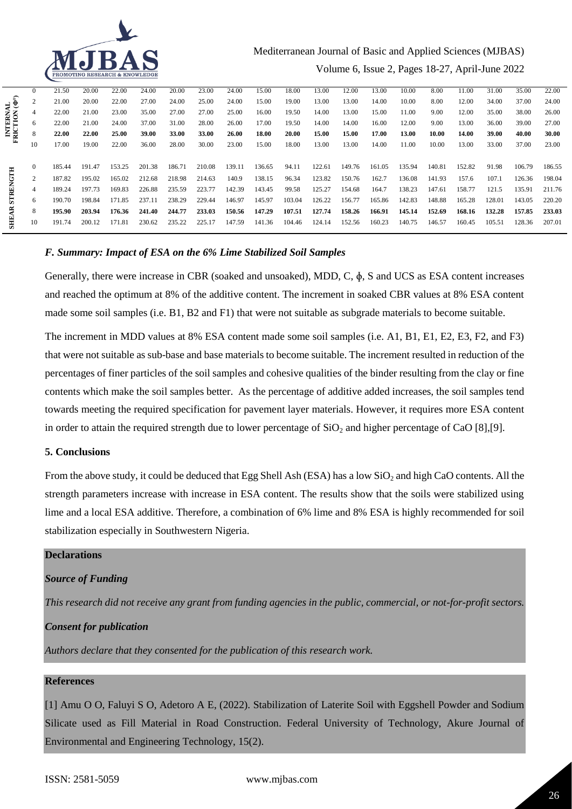

# Mediterranean Journal of Basic and Applied Sciences (MJBAS) Volume 6, Issue 2, Pages 18-27, April-June 2022

|                          | $\Omega$ | 21.50  | 20.00  | 22.00  | 24.00        | 20.00  | 23.00  | 24.00  | 15.00  | 18.00  | 13.00  | 12.00  | 13.00  | 10.00  | 8.00   | 11.00  | 31.00  | 35.00  | 22.00  |
|--------------------------|----------|--------|--------|--------|--------------|--------|--------|--------|--------|--------|--------|--------|--------|--------|--------|--------|--------|--------|--------|
|                          |          | 21.00  | 20.00  | 22.00  | 27.00        | 24.00  | 25.00  | 24.00  | 15.00  | 19.00  | 13.00  | 13.00  | 14.00  | 10.00  | 8.00   | 12.00  | 34.00  | 37.00  | 24.00  |
| INTERNAL<br>RICTION (Φ°) | 4        | 22.00  | 21.00  | 23.00  | 35.00        | 27.00  | 27.00  | 25.00  | 16.00  | 19.50  | 14.00  | 13.00  | 15.00  | 11.00  | 9.00   | 12.00  | 35.00  | 38.00  | 26.00  |
|                          | 6.       | 22.00  | 21.00  | 24.00  | 37.00        | 31.00  | 28.00  | 26.00  | 17.00  | 19.50  | 14.00  | 14.00  | 16.00  | 12.00  | 9.00   | 13.00  | 36.00  | 39.00  | 27.00  |
|                          | 8        | 22.00  | 22.00  | 25.00  | <b>39.00</b> | 33.00  | 33.00  | 26.00  | 18.00  | 20.00  | 15.00  | 15.00  | 17.00  | 13.00  | 10.00  | 14.00  | 39.00  | 40.00  | 30.00  |
| Þ.                       | 10       | 17.00  | 19.00  | 22.00  | 36.00        | 28.00  | 30.00  | 23.00  | 15.00  | 18.00  | 13.00  | 13.00  | 14.00  | 11.00  | 10.00  | 13.00  | 33.00  | 37.00  | 23.00  |
|                          |          |        |        |        |              |        |        |        |        |        |        |        |        |        |        |        |        |        |        |
|                          |          | 185.44 | 191.47 | 153.25 | 201.38       | 186.71 | 210.08 | 139.11 | 136.65 | 94.11  | 122.61 | 149.76 | 161.05 | 135.94 | 140.81 | 152.82 | 91.98  | 106.79 | 186.55 |
| <b>STRENGTH</b>          | 2        | 187.82 | 195.02 | 165.02 | 212.68       | 218.98 | 214.63 | 140.9  | 138.15 | 96.34  | 123.82 | 150.76 | 162.7  | 136.08 | 141.93 | 157.6  | 107.1  | 126.36 | 198.04 |
|                          | 4        | 189.24 | 197.73 | 169.83 | 226.88       | 235.59 | 223.77 | 142.39 | 143.45 | 99.58  | 125.27 | 154.68 | 164.7  | 138.23 | 147.61 | 158.77 | 121.5  | 135.91 | 211.76 |
|                          | 6        | 190.70 | 198.84 | 171.85 | 237.11       | 238.29 | 229.44 | 146.97 | 145.97 | 103.04 | 126.22 | 156.77 | 165.86 | 142.83 | 148.88 | 165.28 | 128.01 | 143.05 | 220.20 |
| ą                        | 8        | 195.90 | 203.94 | 176.36 | 241.40       | 244.77 | 233.03 | 150.56 | 147.29 | 107.51 | 127.74 | 158.26 | 166.91 | 145.14 | 152.69 | 168.16 | 132.28 | 157.85 | 233.03 |
| SHE.                     | 10       | 191.74 | 200.12 | 171.81 | 230.62       | 235.22 | 225.17 | 147.59 | 141.36 | 104.46 | 124.14 | 152.56 | 160.23 | 140.75 | 146.57 | 160.45 | 105.51 | 128.36 | 207.01 |
|                          |          |        |        |        |              |        |        |        |        |        |        |        |        |        |        |        |        |        |        |

### *F. Summary: Impact of ESA on the 6% Lime Stabilized Soil Samples*

Generally, there were increase in CBR (soaked and unsoaked), MDD, C, ɸ, S and UCS as ESA content increases and reached the optimum at 8% of the additive content. The increment in soaked CBR values at 8% ESA content made some soil samples (i.e. B1, B2 and F1) that were not suitable as subgrade materials to become suitable.

The increment in MDD values at 8% ESA content made some soil samples (i.e. A1, B1, E1, E2, E3, F2, and F3) that were not suitable as sub-base and base materials to become suitable. The increment resulted in reduction of the percentages of finer particles of the soil samples and cohesive qualities of the binder resulting from the clay or fine contents which make the soil samples better. As the percentage of additive added increases, the soil samples tend towards meeting the required specification for pavement layer materials. However, it requires more ESA content in order to attain the required strength due to lower percentage of  $SiO<sub>2</sub>$  and higher percentage of CaO [8],[9].

#### **5. Conclusions**

From the above study, it could be deduced that Egg Shell Ash (ESA) has a low SiO<sub>2</sub> and high CaO contents. All the strength parameters increase with increase in ESA content. The results show that the soils were stabilized using lime and a local ESA additive. Therefore, a combination of 6% lime and 8% ESA is highly recommended for soil stabilization especially in Southwestern Nigeria.

### **Declarations**

#### *Source of Funding*

*This research did not receive any grant from funding agencies in the public, commercial, or not-for-profit sectors.*

#### *Consent for publication*

*Authors declare that they consented for the publication of this research work.* 

### **References**

[1] Amu O O, Faluyi S O, Adetoro A E, (2022). Stabilization of Laterite Soil with Eggshell Powder and Sodium Silicate used as Fill Material in Road Construction. Federal University of Technology, Akure Journal of Environmental and Engineering Technology, 15(2).